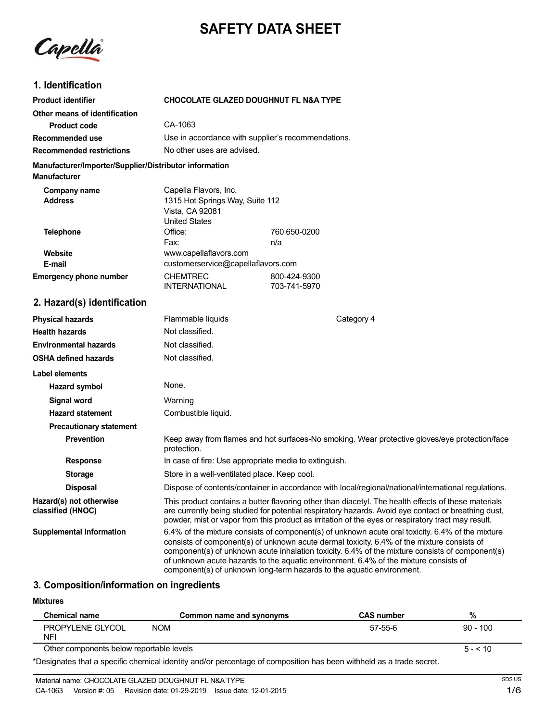# **SAFETY DATA SHEET**

Capella

### **1. Identification**

| <b>Product identifier</b>                                                     | <b>CHOCOLATE GLAZED DOUGHNUT FL N&amp;A TYPE</b>                                                    |                                                                                               |
|-------------------------------------------------------------------------------|-----------------------------------------------------------------------------------------------------|-----------------------------------------------------------------------------------------------|
| Other means of identification                                                 |                                                                                                     |                                                                                               |
| <b>Product code</b>                                                           | CA-1063                                                                                             |                                                                                               |
| Recommended use                                                               | Use in accordance with supplier's recommendations.                                                  |                                                                                               |
| <b>Recommended restrictions</b>                                               | No other uses are advised.                                                                          |                                                                                               |
| Manufacturer/Importer/Supplier/Distributor information<br><b>Manufacturer</b> |                                                                                                     |                                                                                               |
| Company name<br><b>Address</b>                                                | Capella Flavors, Inc.<br>1315 Hot Springs Way, Suite 112<br>Vista, CA 92081<br><b>United States</b> |                                                                                               |
| <b>Telephone</b>                                                              | Office:                                                                                             | 760 650-0200                                                                                  |
| Website<br>E-mail<br><b>Emergency phone number</b>                            | Fax:<br>www.capellaflavors.com<br>customerservice@capellaflavors.com<br><b>CHEMTREC</b>             | n/a<br>800-424-9300                                                                           |
|                                                                               | <b>INTERNATIONAL</b>                                                                                | 703-741-5970                                                                                  |
| 2. Hazard(s) identification                                                   |                                                                                                     |                                                                                               |
| <b>Physical hazards</b>                                                       | Flammable liquids                                                                                   | Category 4                                                                                    |
| <b>Health hazards</b>                                                         | Not classified.                                                                                     |                                                                                               |
| <b>Environmental hazards</b>                                                  | Not classified.                                                                                     |                                                                                               |
| <b>OSHA defined hazards</b>                                                   | Not classified.                                                                                     |                                                                                               |
| <b>Label elements</b>                                                         |                                                                                                     |                                                                                               |
| Hazard symbol                                                                 | None.                                                                                               |                                                                                               |
| Signal word                                                                   | Warning                                                                                             |                                                                                               |
| <b>Hazard statement</b>                                                       | Combustible liquid.                                                                                 |                                                                                               |
| <b>Precautionary statement</b>                                                |                                                                                                     |                                                                                               |
| Prevention                                                                    | protection.                                                                                         | Keep away from flames and hot surfaces-No smoking. Wear protective gloves/eye protection/face |

**Response In case of fire: Use appropriate media to extinguish.** 

**Storage** Store in a well-ventilated place. Keep cool.

### **3. Composition/information on ingredients**

#### **Mixtures**

**Hazard(s) not otherwise classified (HNOC)**

| <b>Chemical name</b>                     | Common name and synonyms | <b>CAS number</b> | %          |
|------------------------------------------|--------------------------|-------------------|------------|
| PROPYLENE GLYCOL<br><b>NFI</b>           | NOM                      | 57-55-6           | $90 - 100$ |
| Other components below reportable levels |                          |                   | $5 - 510$  |

**Disposal Dispose of contents/container in accordance with local/regional/national/international regulations.** 

component(s) of unknown long-term hazards to the aquatic environment.

**Supplemental information** 6.4% of the mixture consists of component(s) of unknown acute oral toxicity. 6.4% of the mixture

This product contains a butter flavoring other than diacetyl. The health effects of these materials are currently being studied for potential respiratory hazards. Avoid eye contact or breathing dust, powder, mist or vapor from this product as irritation of the eyes or respiratory tract may result.

consists of component(s) of unknown acute dermal toxicity. 6.4% of the mixture consists of component(s) of unknown acute inhalation toxicity. 6.4% of the mixture consists of component(s)

of unknown acute hazards to the aquatic environment. 6.4% of the mixture consists of

\*Designates that a specific chemical identity and/or percentage of composition has been withheld as a trade secret.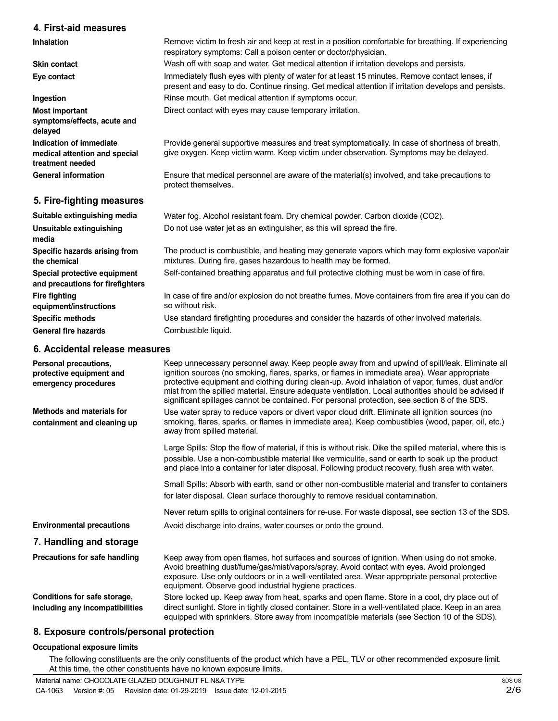### **4. First-aid measures**

**Inhalation Skin contact Eye contact Ingestion Most important symptoms/effects, acute and delayed Indication of immediate medical attention and special treatment needed General information 5. Fire-fighting measures Suitable extinguishing media Unsuitable extinguishing media Specific hazards arising from the chemical Special protective equipment and precautions for firefighters Fire fighting equipment/instructions** Remove victim to fresh air and keep at rest in a position comfortable for breathing. If experiencing respiratory symptoms: Call a poison center or doctor/physician. Wash off with soap and water. Get medical attention if irritation develops and persists. Immediately flush eyes with plenty of water for at least 15 minutes. Remove contact lenses, if present and easy to do. Continue rinsing. Get medical attention if irritation develops and persists. Rinse mouth. Get medical attention if symptoms occur. Direct contact with eyes may cause temporary irritation. Provide general supportive measures and treat symptomatically. In case of shortness of breath, give oxygen. Keep victim warm. Keep victim under observation. Symptoms may be delayed. Ensure that medical personnel are aware of the material(s) involved, and take precautions to protect themselves. Water fog. Alcohol resistant foam. Dry chemical powder. Carbon dioxide (CO2). Do not use water jet as an extinguisher, as this will spread the fire. The product is combustible, and heating may generate vapors which may form explosive vapor/air mixtures. During fire, gases hazardous to health may be formed. Self-contained breathing apparatus and full protective clothing must be worn in case of fire. In case of fire and/or explosion do not breathe fumes. Move containers from fire area if you can do so without risk.

> Use standard firefighting procedures and consider the hazards of other involved materials. Combustible liquid.

### **6. Accidental release measures**

**Specific methods General fire hazards**

| Personal precautions,<br>protective equipment and<br>emergency procedures | Keep unnecessary personnel away. Keep people away from and upwind of spill/leak. Eliminate all<br>ignition sources (no smoking, flares, sparks, or flames in immediate area). Wear appropriate<br>protective equipment and clothing during clean-up. Avoid inhalation of vapor, fumes, dust and/or<br>mist from the spilled material. Ensure adequate ventilation. Local authorities should be advised if<br>significant spillages cannot be contained. For personal protection, see section 8 of the SDS. |
|---------------------------------------------------------------------------|------------------------------------------------------------------------------------------------------------------------------------------------------------------------------------------------------------------------------------------------------------------------------------------------------------------------------------------------------------------------------------------------------------------------------------------------------------------------------------------------------------|
| Methods and materials for<br>containment and cleaning up                  | Use water spray to reduce vapors or divert vapor cloud drift. Eliminate all ignition sources (no<br>smoking, flares, sparks, or flames in immediate area). Keep combustibles (wood, paper, oil, etc.)<br>away from spilled material.                                                                                                                                                                                                                                                                       |
|                                                                           | Large Spills: Stop the flow of material, if this is without risk. Dike the spilled material, where this is<br>possible. Use a non-combustible material like vermiculite, sand or earth to soak up the product<br>and place into a container for later disposal. Following product recovery, flush area with water.                                                                                                                                                                                         |
|                                                                           | Small Spills: Absorb with earth, sand or other non-combustible material and transfer to containers<br>for later disposal. Clean surface thoroughly to remove residual contamination.                                                                                                                                                                                                                                                                                                                       |
|                                                                           | Never return spills to original containers for re-use. For waste disposal, see section 13 of the SDS.                                                                                                                                                                                                                                                                                                                                                                                                      |
| <b>Environmental precautions</b>                                          | Avoid discharge into drains, water courses or onto the ground.                                                                                                                                                                                                                                                                                                                                                                                                                                             |
| 7. Handling and storage                                                   |                                                                                                                                                                                                                                                                                                                                                                                                                                                                                                            |
| Precautions for safe handling                                             | Keep away from open flames, hot surfaces and sources of ignition. When using do not smoke.<br>Avoid breathing dust/fume/gas/mist/vapors/spray. Avoid contact with eyes. Avoid prolonged<br>exposure. Use only outdoors or in a well-ventilated area. Wear appropriate personal protective<br>equipment. Observe good industrial hygiene practices.                                                                                                                                                         |
| Conditions for safe storage,<br>including any incompatibilities           | Store locked up. Keep away from heat, sparks and open flame. Store in a cool, dry place out of<br>direct sunlight. Store in tightly closed container. Store in a well-ventilated place. Keep in an area<br>equipped with sprinklers. Store away from incompatible materials (see Section 10 of the SDS).                                                                                                                                                                                                   |

### **8. Exposure controls/personal protection**

#### **Occupational exposure limits**

The following constituents are the only constituents of the product which have a PEL, TLV or other recommended exposure limit. At this time, the other constituents have no known exposure limits.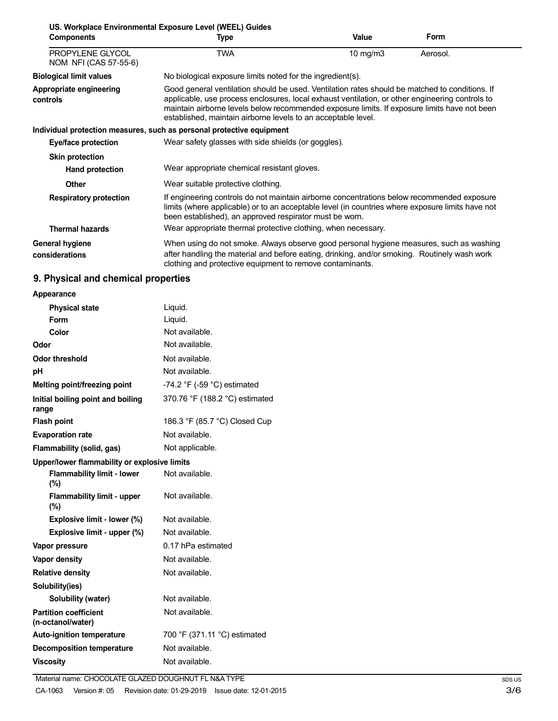|                                           | US. Workplace Environmental Exposure Level (WEEL) Guides                                                                                                                                                                                                                                                                                                           |                   |          |
|-------------------------------------------|--------------------------------------------------------------------------------------------------------------------------------------------------------------------------------------------------------------------------------------------------------------------------------------------------------------------------------------------------------------------|-------------------|----------|
| <b>Components</b>                         | <b>Type</b>                                                                                                                                                                                                                                                                                                                                                        | Value             | Form     |
| PROPYLENE GLYCOL<br>NOM NFI (CAS 57-55-6) | <b>TWA</b>                                                                                                                                                                                                                                                                                                                                                         | $10 \text{ mg/m}$ | Aerosol. |
| <b>Biological limit values</b>            | No biological exposure limits noted for the ingredient(s).                                                                                                                                                                                                                                                                                                         |                   |          |
| Appropriate engineering<br>controls       | Good general ventilation should be used. Ventilation rates should be matched to conditions. If<br>applicable, use process enclosures, local exhaust ventilation, or other engineering controls to<br>maintain airborne levels below recommended exposure limits. If exposure limits have not been<br>established, maintain airborne levels to an acceptable level. |                   |          |
|                                           | Individual protection measures, such as personal protective equipment                                                                                                                                                                                                                                                                                              |                   |          |
| Eye/face protection                       | Wear safety glasses with side shields (or goggles).                                                                                                                                                                                                                                                                                                                |                   |          |
| <b>Skin protection</b>                    |                                                                                                                                                                                                                                                                                                                                                                    |                   |          |
| Hand protection                           | Wear appropriate chemical resistant gloves.                                                                                                                                                                                                                                                                                                                        |                   |          |
| <b>Other</b>                              | Wear suitable protective clothing.                                                                                                                                                                                                                                                                                                                                 |                   |          |
| <b>Respiratory protection</b>             | If engineering controls do not maintain airborne concentrations below recommended exposure<br>limits (where applicable) or to an acceptable level (in countries where exposure limits have not<br>been established), an approved respirator must be worn.                                                                                                          |                   |          |
| <b>Thermal hazards</b>                    | Wear appropriate thermal protective clothing, when necessary.                                                                                                                                                                                                                                                                                                      |                   |          |
| General hygiene<br>considerations         | When using do not smoke. Always observe good personal hygiene measures, such as washing<br>after handling the material and before eating, drinking, and/or smoking. Routinely wash work<br>clothing and protective equipment to remove contaminants.                                                                                                               |                   |          |

# **9. Physical and chemical properties**

| Appearance                                        |                                |
|---------------------------------------------------|--------------------------------|
| <b>Physical state</b>                             | Liquid.                        |
| Form                                              | Liquid.                        |
| Color                                             | Not available.                 |
| Odor                                              | Not available.                 |
| <b>Odor threshold</b>                             | Not available.                 |
| рH                                                | Not available.                 |
| Melting point/freezing point                      | -74.2 °F (-59 °C) estimated    |
| Initial boiling point and boiling<br>range        | 370.76 °F (188.2 °C) estimated |
| <b>Flash point</b>                                | 186.3 °F (85.7 °C) Closed Cup  |
| <b>Evaporation rate</b>                           | Not available.                 |
| Flammability (solid, gas)                         | Not applicable.                |
| Upper/lower flammability or explosive limits      |                                |
| <b>Flammability limit - lower</b><br>(%)          | Not available.                 |
| <b>Flammability limit - upper</b><br>$(\% )$      | Not available.                 |
| Explosive limit - lower (%)                       | Not available.                 |
| Explosive limit - upper (%)                       | Not available.                 |
| Vapor pressure                                    | $0.17$ hPa estimated           |
| <b>Vapor density</b>                              | Not available.                 |
| <b>Relative density</b>                           | Not available.                 |
| Solubility(ies)                                   |                                |
| Solubility (water)                                | Not available.                 |
| <b>Partition coefficient</b><br>(n-octanol/water) | Not available.                 |
| <b>Auto-ignition temperature</b>                  | 700 °F (371.11 °C) estimated   |
| <b>Decomposition temperature</b>                  | Not available.                 |
| <b>Viscosity</b>                                  | Not available.                 |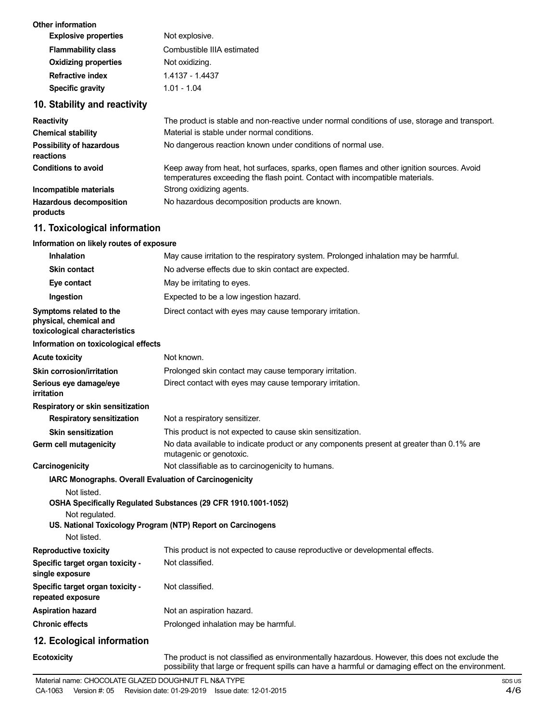| Other information<br><b>Explosive properties</b> | Not explosive.             |
|--------------------------------------------------|----------------------------|
| <b>Flammability class</b>                        | Combustible IIIA estimated |
| <b>Oxidizing properties</b>                      | Not oxidizing.             |
| Refractive index                                 | 1.4137 - 1.4437            |
| Specific gravity                                 | 1.01 - 1.04                |
|                                                  |                            |

### **10. Stability and reactivity**

| <b>Reactivity</b>                            | The product is stable and non-reactive under normal conditions of use, storage and transport.                                                                            |
|----------------------------------------------|--------------------------------------------------------------------------------------------------------------------------------------------------------------------------|
| <b>Chemical stability</b>                    | Material is stable under normal conditions.                                                                                                                              |
| <b>Possibility of hazardous</b><br>reactions | No dangerous reaction known under conditions of normal use.                                                                                                              |
| <b>Conditions to avoid</b>                   | Keep away from heat, hot surfaces, sparks, open flames and other ignition sources. Avoid<br>temperatures exceeding the flash point. Contact with incompatible materials. |
| Incompatible materials                       | Strong oxidizing agents.                                                                                                                                                 |
| <b>Hazardous decomposition</b><br>products   | No hazardous decomposition products are known.                                                                                                                           |

# **11. Toxicological information**

### **Information on likely routes of exposure**

| <b>Inhalation</b>                                                                  | May cause irritation to the respiratory system. Prolonged inhalation may be harmful.                                                                                                                  |
|------------------------------------------------------------------------------------|-------------------------------------------------------------------------------------------------------------------------------------------------------------------------------------------------------|
| <b>Skin contact</b>                                                                | No adverse effects due to skin contact are expected.                                                                                                                                                  |
| Eye contact                                                                        | May be irritating to eyes.                                                                                                                                                                            |
| Ingestion                                                                          | Expected to be a low ingestion hazard.                                                                                                                                                                |
| Symptoms related to the<br>physical, chemical and<br>toxicological characteristics | Direct contact with eyes may cause temporary irritation.                                                                                                                                              |
| Information on toxicological effects                                               |                                                                                                                                                                                                       |
| <b>Acute toxicity</b>                                                              | Not known.                                                                                                                                                                                            |
| Skin corrosion/irritation                                                          | Prolonged skin contact may cause temporary irritation.                                                                                                                                                |
| Serious eye damage/eye<br><b>irritation</b>                                        | Direct contact with eyes may cause temporary irritation.                                                                                                                                              |
| Respiratory or skin sensitization                                                  |                                                                                                                                                                                                       |
| <b>Respiratory sensitization</b>                                                   | Not a respiratory sensitizer.                                                                                                                                                                         |
| <b>Skin sensitization</b>                                                          | This product is not expected to cause skin sensitization.                                                                                                                                             |
| Germ cell mutagenicity                                                             | No data available to indicate product or any components present at greater than 0.1% are<br>mutagenic or genotoxic.                                                                                   |
| Carcinogenicity                                                                    | Not classifiable as to carcinogenicity to humans.                                                                                                                                                     |
| <b>IARC Monographs. Overall Evaluation of Carcinogenicity</b>                      |                                                                                                                                                                                                       |
| Not listed.<br>Not regulated.<br>Not listed.                                       | OSHA Specifically Regulated Substances (29 CFR 1910.1001-1052)<br>US. National Toxicology Program (NTP) Report on Carcinogens                                                                         |
| <b>Reproductive toxicity</b>                                                       | This product is not expected to cause reproductive or developmental effects.                                                                                                                          |
| Specific target organ toxicity -<br>single exposure                                | Not classified.                                                                                                                                                                                       |
| Specific target organ toxicity -<br>repeated exposure                              | Not classified.                                                                                                                                                                                       |
| <b>Aspiration hazard</b>                                                           | Not an aspiration hazard.                                                                                                                                                                             |
| <b>Chronic effects</b>                                                             | Prolonged inhalation may be harmful.                                                                                                                                                                  |
| 12. Ecological information                                                         |                                                                                                                                                                                                       |
| Ecotoxicity                                                                        | The product is not classified as environmentally hazardous. However, this does not exclude the<br>possibility that large or frequent spills can have a harmful or damaging effect on the environment. |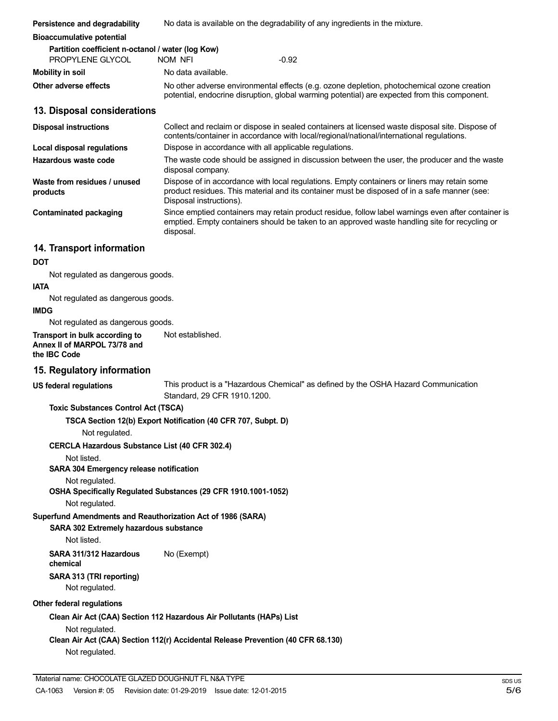| Persistence and degradability                                                                                        | No data is available on the degradability of any ingredients in the mixture.                                                                                                                                           |
|----------------------------------------------------------------------------------------------------------------------|------------------------------------------------------------------------------------------------------------------------------------------------------------------------------------------------------------------------|
| <b>Bioaccumulative potential</b>                                                                                     |                                                                                                                                                                                                                        |
| Partition coefficient n-octanol / water (log Kow)<br>PROPYLENE GLYCOL                                                | $-0.92$<br>NOM NFI                                                                                                                                                                                                     |
| <b>Mobility in soil</b>                                                                                              | No data available.                                                                                                                                                                                                     |
| Other adverse effects                                                                                                | No other adverse environmental effects (e.g. ozone depletion, photochemical ozone creation<br>potential, endocrine disruption, global warming potential) are expected from this component.                             |
| 13. Disposal considerations                                                                                          |                                                                                                                                                                                                                        |
| <b>Disposal instructions</b>                                                                                         | Collect and reclaim or dispose in sealed containers at licensed waste disposal site. Dispose of<br>contents/container in accordance with local/regional/national/international regulations.                            |
| <b>Local disposal regulations</b>                                                                                    | Dispose in accordance with all applicable regulations.                                                                                                                                                                 |
| Hazardous waste code                                                                                                 | The waste code should be assigned in discussion between the user, the producer and the waste<br>disposal company.                                                                                                      |
| Waste from residues / unused<br>products                                                                             | Dispose of in accordance with local regulations. Empty containers or liners may retain some<br>product residues. This material and its container must be disposed of in a safe manner (see:<br>Disposal instructions). |
| <b>Contaminated packaging</b>                                                                                        | Since emptied containers may retain product residue, follow label warnings even after container is<br>emptied. Empty containers should be taken to an approved waste handling site for recycling or<br>disposal.       |
| 14. Transport information                                                                                            |                                                                                                                                                                                                                        |
| <b>DOT</b>                                                                                                           |                                                                                                                                                                                                                        |
| Not regulated as dangerous goods.                                                                                    |                                                                                                                                                                                                                        |
| <b>IATA</b>                                                                                                          |                                                                                                                                                                                                                        |
| Not regulated as dangerous goods.<br><b>IMDG</b>                                                                     |                                                                                                                                                                                                                        |
| Not regulated as dangerous goods.                                                                                    |                                                                                                                                                                                                                        |
| Transport in bulk according to<br>Annex II of MARPOL 73/78 and<br>the IBC Code                                       | Not established.                                                                                                                                                                                                       |
| 15. Regulatory information                                                                                           |                                                                                                                                                                                                                        |
| <b>US federal regulations</b>                                                                                        | This product is a "Hazardous Chemical" as defined by the OSHA Hazard Communication<br>Standard, 29 CFR 1910.1200.                                                                                                      |
| <b>Toxic Substances Control Act (TSCA)</b>                                                                           |                                                                                                                                                                                                                        |
| Not regulated.                                                                                                       | TSCA Section 12(b) Export Notification (40 CFR 707, Subpt. D)                                                                                                                                                          |
| <b>CERCLA Hazardous Substance List (40 CFR 302.4)</b>                                                                |                                                                                                                                                                                                                        |
| Not listed.<br>SARA 304 Emergency release notification                                                               |                                                                                                                                                                                                                        |
| Not regulated.                                                                                                       | OSHA Specifically Regulated Substances (29 CFR 1910.1001-1052)                                                                                                                                                         |
| Not regulated.                                                                                                       |                                                                                                                                                                                                                        |
| Superfund Amendments and Reauthorization Act of 1986 (SARA)<br>SARA 302 Extremely hazardous substance<br>Not listed. |                                                                                                                                                                                                                        |
| SARA 311/312 Hazardous<br>chemical                                                                                   | No (Exempt)                                                                                                                                                                                                            |
| SARA 313 (TRI reporting)<br>Not regulated.                                                                           |                                                                                                                                                                                                                        |
| Other federal regulations                                                                                            |                                                                                                                                                                                                                        |
|                                                                                                                      | Clean Air Act (CAA) Section 112 Hazardous Air Pollutants (HAPs) List                                                                                                                                                   |
| Not regulated.<br>Not regulated.                                                                                     | Clean Air Act (CAA) Section 112(r) Accidental Release Prevention (40 CFR 68.130)                                                                                                                                       |
|                                                                                                                      |                                                                                                                                                                                                                        |